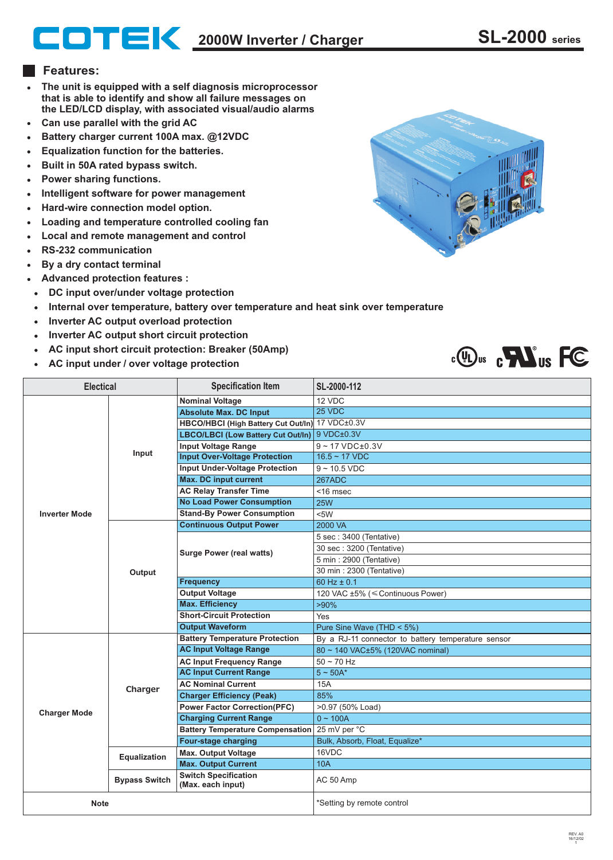## **2000W Inverter / Charger SL-2000 series**

## **Features:**

- **The unit is equipped with a self diagnosis microprocessor**   $\bullet$ **that is able to identify and show all failure messages on the LED/LCD display, with associated visual/audio alarms**
- **Can use parallel with the grid AC**  $\bullet$
- **Battery charger current 100A max. @12VDC**
- **Equalization function for the batteries.**
- **Built in 50A rated bypass switch.**
- **Power sharing functions.**  $\bullet$
- **Intelligent software for power management**
- **Hard-wire connection model option.**  $\bullet$
- **Loading and temperature controlled cooling fan**
- **Local and remote management and control**  $\bullet$
- **RS-232 communication**
- **By a dry contact terminal**
- **Advanced protection features :**
- **DC input over/under voltage protection**
- **Internal over temperature, battery over temperature and heat sink over temperature**  $\bullet$
- **Inverter AC output overload protection**  $\bullet$
- **Inverter AC output short circuit protection**  $\bullet$
- **AC input short circuit protection: Breaker (50Amp)**
- **AC input under / over voltage protection**

| III<br>U |
|----------|
|          |



| <b>Electical</b>     |                      | Specification Item                               | SL-2000-112                                        |
|----------------------|----------------------|--------------------------------------------------|----------------------------------------------------|
|                      |                      | <b>Nominal Voltage</b>                           | 12 VDC                                             |
|                      |                      | <b>Absolute Max. DC Input</b>                    | 25 VDC                                             |
|                      | Input                | HBCO/HBCI (High Battery Cut Out/In) 17 VDC±0.3V  |                                                    |
|                      |                      | LBCO/LBCI (Low Battery Cut Out/In)               | 9 VDC±0.3V                                         |
|                      |                      | <b>Input Voltage Range</b>                       | $9 - 17$ VDC $\pm$ 0.3V                            |
|                      |                      | <b>Input Over-Voltage Protection</b>             | $16.5 - 17$ VDC                                    |
|                      |                      | <b>Input Under-Voltage Protection</b>            | $9 - 10.5$ VDC                                     |
|                      |                      | <b>Max. DC input current</b>                     | 267ADC                                             |
|                      |                      | <b>AC Relay Transfer Time</b>                    | <16 msec                                           |
| <b>Inverter Mode</b> |                      | <b>No Load Power Consumption</b>                 | <b>25W</b>                                         |
|                      |                      | <b>Stand-By Power Consumption</b>                | <5W                                                |
|                      |                      | <b>Continuous Output Power</b>                   | 2000 VA                                            |
|                      | Output               | <b>Surge Power (real watts)</b>                  | 5 sec: 3400 (Tentative)                            |
|                      |                      |                                                  | 30 sec: 3200 (Tentative)                           |
|                      |                      |                                                  | 5 min: 2900 (Tentative)                            |
|                      |                      |                                                  | 30 min: 2300 (Tentative)                           |
|                      |                      | <b>Frequency</b>                                 | 60 Hz $\pm$ 0.1                                    |
|                      |                      | <b>Output Voltage</b>                            | 120 VAC ±5% (≤ Continuous Power)                   |
|                      |                      | <b>Max. Efficiency</b>                           | $>90\%$                                            |
|                      |                      | <b>Short-Circuit Protection</b>                  | Yes                                                |
|                      |                      | <b>Output Waveform</b>                           | Pure Sine Wave (THD < 5%)                          |
|                      | Charger              | <b>Battery Temperature Protection</b>            | By a RJ-11 connector to battery temperature sensor |
|                      |                      | <b>AC Input Voltage Range</b>                    | 80 ~ 140 VAC±5% (120VAC nominal)                   |
|                      |                      | <b>AC Input Frequency Range</b>                  | $50 - 70$ Hz                                       |
|                      |                      | <b>AC Input Current Range</b>                    | $5 - 50A^*$                                        |
| <b>Charger Mode</b>  |                      | <b>AC Nominal Current</b>                        | 15A                                                |
|                      |                      | <b>Charger Efficiency (Peak)</b>                 | 85%                                                |
|                      |                      | <b>Power Factor Correction(PFC)</b>              | >0.97 (50% Load)                                   |
|                      |                      | <b>Charging Current Range</b>                    | $0 - 100A$                                         |
|                      |                      | Battery Temperature Compensation 25 mV per °C    |                                                    |
|                      |                      | <b>Four-stage charging</b>                       | Bulk, Absorb, Float, Equalize*                     |
|                      | <b>Equalization</b>  | <b>Max. Output Voltage</b>                       | 16VDC                                              |
|                      |                      | <b>Max. Output Current</b>                       | <b>10A</b>                                         |
|                      | <b>Bypass Switch</b> | <b>Switch Specification</b><br>(Max. each input) | AC 50 Amp                                          |
| <b>Note</b>          |                      |                                                  | *Setting by remote control                         |